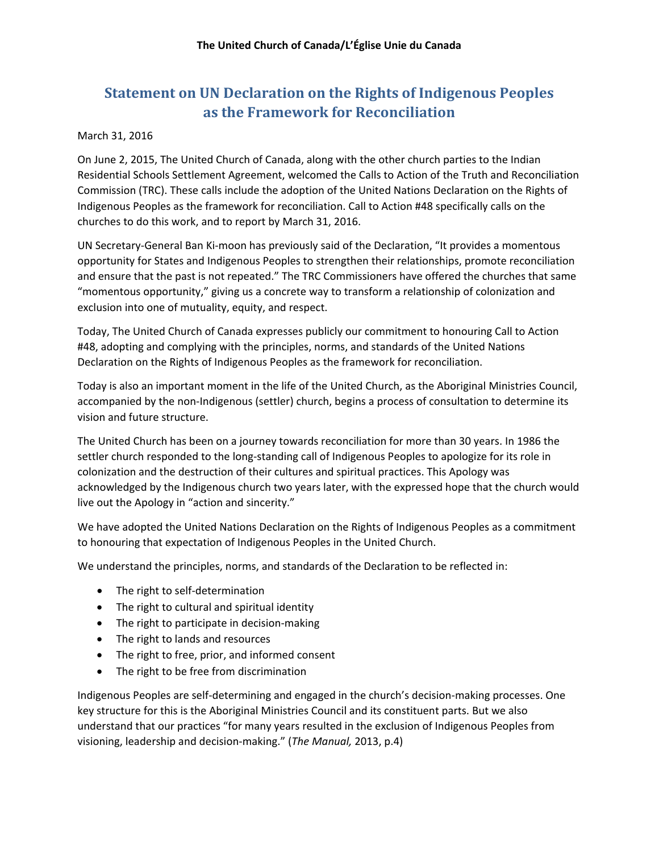## **Statement on UN Declaration on the Rights of Indigenous Peoples as the Framework for Reconciliation**

## March 31, 2016

On June 2, 2015, The United Church of Canada, along with the other church parties to the Indian Residential Schools Settlement Agreement, welcomed the Calls to Action of the Truth and Reconciliation Commission (TRC). These calls include the adoption of the United Nations Declaration on the Rights of Indigenous Peoples as the framework for reconciliation. Call to Action #48 specifically calls on the churches to do this work, and to report by March 31, 2016.

UN Secretary-General Ban Ki-moon has previously said of the Declaration, "It provides a momentous opportunity for States and Indigenous Peoples to strengthen their relationships, promote reconciliation and ensure that the past is not repeated." The TRC Commissioners have offered the churches that same "momentous opportunity," giving us a concrete way to transform a relationship of colonization and exclusion into one of mutuality, equity, and respect.

Today, The United Church of Canada expresses publicly our commitment to honouring Call to Action #48, adopting and complying with the principles, norms, and standards of the United Nations Declaration on the Rights of Indigenous Peoples as the framework for reconciliation.

Today is also an important moment in the life of the United Church, as the Aboriginal Ministries Council, accompanied by the non-Indigenous (settler) church, begins a process of consultation to determine its vision and future structure.

The United Church has been on a journey towards reconciliation for more than 30 years. In 1986 the settler church responded to the long-standing call of Indigenous Peoples to apologize for its role in colonization and the destruction of their cultures and spiritual practices. This Apology was acknowledged by the Indigenous church two years later, with the expressed hope that the church would live out the Apology in "action and sincerity."

We have adopted the United Nations Declaration on the Rights of Indigenous Peoples as a commitment to honouring that expectation of Indigenous Peoples in the United Church.

We understand the principles, norms, and standards of the Declaration to be reflected in:

- The right to self-determination
- The right to cultural and spiritual identity
- The right to participate in decision-making
- The right to lands and resources
- The right to free, prior, and informed consent
- The right to be free from discrimination

Indigenous Peoples are self-determining and engaged in the church's decision-making processes. One key structure for this is the Aboriginal Ministries Council and its constituent parts. But we also understand that our practices "for many years resulted in the exclusion of Indigenous Peoples from visioning, leadership and decision-making." (*The Manual,* 2013, p.4)